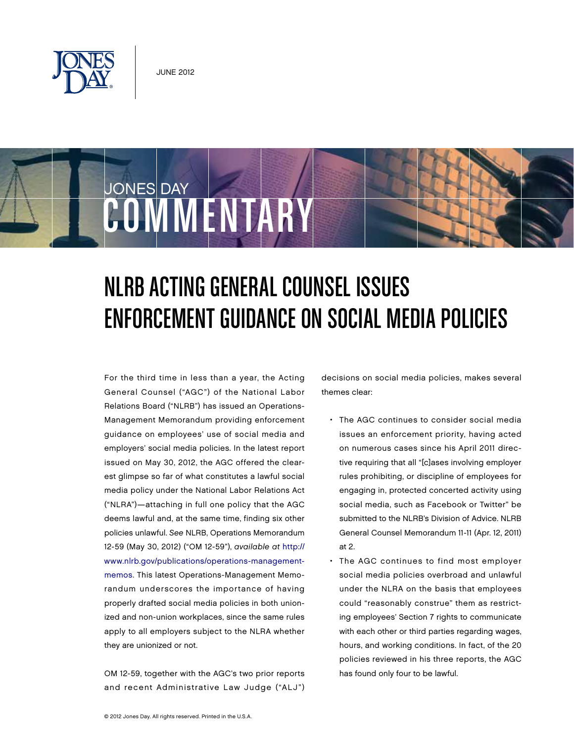

COMMENTARY

JONES DAY

# NLRB Acting General Counsel Issues ENFORCEMENT GUIDANCE ON SOCIAL MEDIA POLICIES

For the third time in less than a year, the Acting General Counsel ("AGC") of the National Labor Relations Board ("NLRB") has issued an Operations-Management Memorandum providing enforcement guidance on employees' use of social media and employers' social media policies. In the latest report issued on May 30, 2012, the AGC offered the clearest glimpse so far of what constitutes a lawful social media policy under the National Labor Relations Act ("NLRA")—attaching in full one policy that the AGC deems lawful and, at the same time, finding six other policies unlawful. See NLRB, Operations Memorandum 12-59 (May 30, 2012) ("OM 12-59"), available at http:// [www.nlrb.gov/publications/operations-management](http://www.nlrb.gov/publications/operations-management-memos)memos. This latest Operations-Management Memorandum underscores the importance of having properly drafted social media policies in both unionized and non-union workplaces, since the same rules apply to all employers subject to the NLRA whether they are unionized or not.

OM 12-59, together with the AGC's two prior reports and recent Administrative Law Judge ("ALJ") decisions on social media policies, makes several themes clear:

- The AGC continues to consider social media issues an enforcement priority, having acted on numerous cases since his April 2011 directive requiring that all "[c]ases involving employer rules prohibiting, or discipline of employees for engaging in, protected concerted activity using social media, such as Facebook or Twitter" be submitted to the NLRB's Division of Advice. NLRB General Counsel Memorandum 11-11 (Apr. 12, 2011) at 2.
- The AGC continues to find most employer social media policies overbroad and unlawful under the NLRA on the basis that employees could "reasonably construe" them as restricting employees' Section 7 rights to communicate with each other or third parties regarding wages, hours, and working conditions. In fact, of the 20 policies reviewed in his three reports, the AGC has found only four to be lawful.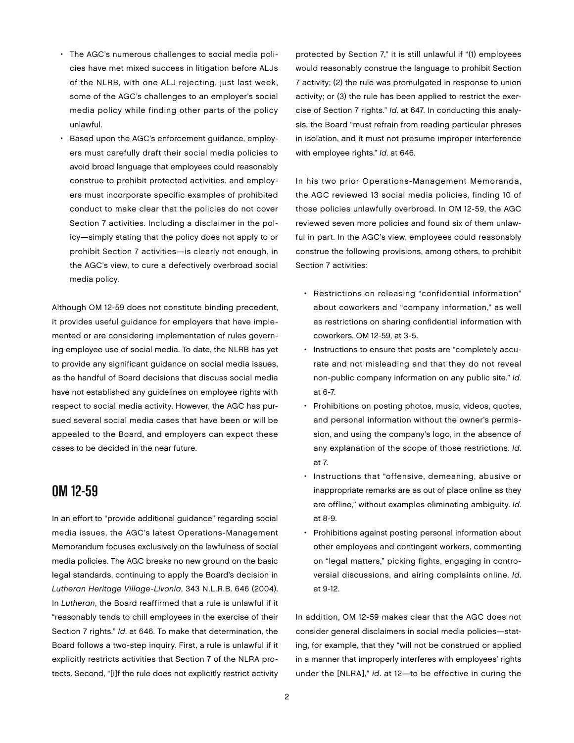- The AGC's numerous challenges to social media policies have met mixed success in litigation before ALJs of the NLRB, with one ALJ rejecting, just last week, some of the AGC's challenges to an employer's social media policy while finding other parts of the policy unlawful.
- Based upon the AGC's enforcement guidance, employers must carefully draft their social media policies to avoid broad language that employees could reasonably construe to prohibit protected activities, and employers must incorporate specific examples of prohibited conduct to make clear that the policies do not cover Section 7 activities. Including a disclaimer in the policy—simply stating that the policy does not apply to or prohibit Section 7 activities—is clearly not enough, in the AGC's view, to cure a defectively overbroad social media policy.

Although OM 12-59 does not constitute binding precedent, it provides useful guidance for employers that have implemented or are considering implementation of rules governing employee use of social media. To date, the NLRB has yet to provide any significant guidance on social media issues, as the handful of Board decisions that discuss social media have not established any guidelines on employee rights with respect to social media activity. However, the AGC has pursued several social media cases that have been or will be appealed to the Board, and employers can expect these cases to be decided in the near future.

#### OM 12-59

In an effort to "provide additional guidance" regarding social media issues, the AGC's latest Operations-Management Memorandum focuses exclusively on the lawfulness of social media policies. The AGC breaks no new ground on the basic legal standards, continuing to apply the Board's decision in Lutheran Heritage Village-Livonia, 343 N.L.R.B. 646 (2004). In Lutheran, the Board reaffirmed that a rule is unlawful if it "reasonably tends to chill employees in the exercise of their Section 7 rights." Id. at 646. To make that determination, the Board follows a two-step inquiry. First, a rule is unlawful if it explicitly restricts activities that Section 7 of the NLRA protects. Second, "[i]f the rule does not explicitly restrict activity

protected by Section 7," it is still unlawful if "(1) employees would reasonably construe the language to prohibit Section 7 activity; (2) the rule was promulgated in response to union activity; or (3) the rule has been applied to restrict the exercise of Section 7 rights." Id. at 647. In conducting this analysis, the Board "must refrain from reading particular phrases in isolation, and it must not presume improper interference with employee rights." Id. at 646.

In his two prior Operations-Management Memoranda, the AGC reviewed 13 social media policies, finding 10 of those policies unlawfully overbroad. In OM 12-59, the AGC reviewed seven more policies and found six of them unlawful in part. In the AGC's view, employees could reasonably construe the following provisions, among others, to prohibit Section 7 activities:

- Restrictions on releasing "confidential information" about coworkers and "company information," as well as restrictions on sharing confidential information with coworkers. OM 12-59, at 3-5.
- Instructions to ensure that posts are "completely accurate and not misleading and that they do not reveal non-public company information on any public site." Id. at 6-7.
- Prohibitions on posting photos, music, videos, quotes, and personal information without the owner's permission, and using the company's logo, in the absence of any explanation of the scope of those restrictions. Id. at 7.
- Instructions that "offensive, demeaning, abusive or inappropriate remarks are as out of place online as they are offline," without examples eliminating ambiguity. Id. at 8-9.
- Prohibitions against posting personal information about other employees and contingent workers, commenting on "legal matters," picking fights, engaging in controversial discussions, and airing complaints online. Id. at 9-12.

In addition, OM 12-59 makes clear that the AGC does not consider general disclaimers in social media policies—stating, for example, that they "will not be construed or applied in a manner that improperly interferes with employees' rights under the [NLRA]," id. at 12—to be effective in curing the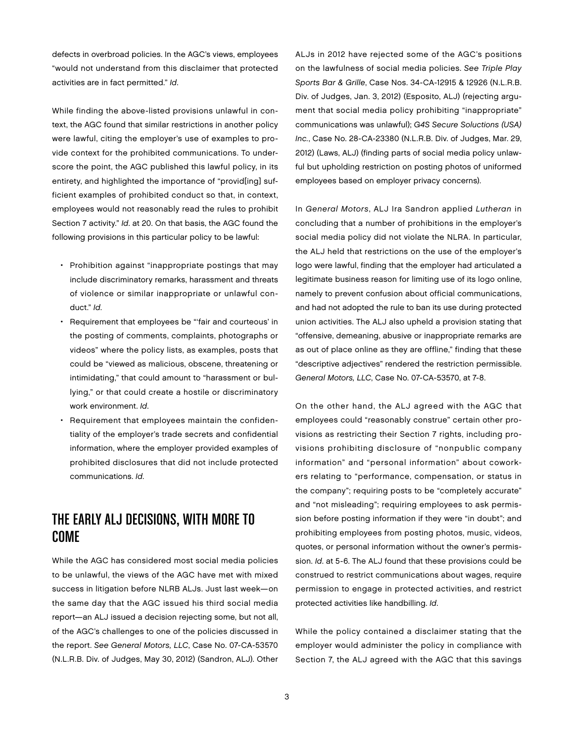defects in overbroad policies. In the AGC's views, employees "would not understand from this disclaimer that protected activities are in fact permitted." Id.

While finding the above-listed provisions unlawful in context, the AGC found that similar restrictions in another policy were lawful, citing the employer's use of examples to provide context for the prohibited communications. To underscore the point, the AGC published this lawful policy, in its entirety, and highlighted the importance of "provid[ing] sufficient examples of prohibited conduct so that, in context, employees would not reasonably read the rules to prohibit Section 7 activity." Id. at 20. On that basis, the AGC found the following provisions in this particular policy to be lawful:

- Prohibition against "inappropriate postings that may include discriminatory remarks, harassment and threats of violence or similar inappropriate or unlawful conduct." Id.
- Requirement that employees be "'fair and courteous' in the posting of comments, complaints, photographs or videos" where the policy lists, as examples, posts that could be "viewed as malicious, obscene, threatening or intimidating," that could amount to "harassment or bullying," or that could create a hostile or discriminatory work environment. Id.
- Requirement that employees maintain the confidentiality of the employer's trade secrets and confidential information, where the employer provided examples of prohibited disclosures that did not include protected communications. Id.

## The Early ALJ Decisions, With More to Come

While the AGC has considered most social media policies to be unlawful, the views of the AGC have met with mixed success in litigation before NLRB ALJs. Just last week—on the same day that the AGC issued his third social media report—an ALJ issued a decision rejecting some, but not all, of the AGC's challenges to one of the policies discussed in the report. See General Motors, LLC, Case No. 07-CA-53570 (N.L.R.B. Div. of Judges, May 30, 2012) (Sandron, ALJ). Other

ALJs in 2012 have rejected some of the AGC's positions on the lawfulness of social media policies. See Triple Play Sports Bar & Grille, Case Nos. 34-CA-12915 & 12926 (N.L.R.B. Div. of Judges, Jan. 3, 2012) (Esposito, ALJ) (rejecting argument that social media policy prohibiting "inappropriate" communications was unlawful); G4S Secure Soluctions (USA) Inc., Case No. 28-CA-23380 (N.L.R.B. Div. of Judges, Mar. 29, 2012) (Laws, ALJ) (finding parts of social media policy unlawful but upholding restriction on posting photos of uniformed employees based on employer privacy concerns).

In General Motors, ALJ Ira Sandron applied Lutheran in concluding that a number of prohibitions in the employer's social media policy did not violate the NLRA. In particular, the ALJ held that restrictions on the use of the employer's logo were lawful, finding that the employer had articulated a legitimate business reason for limiting use of its logo online, namely to prevent confusion about official communications, and had not adopted the rule to ban its use during protected union activities. The ALJ also upheld a provision stating that "offensive, demeaning, abusive or inappropriate remarks are as out of place online as they are offline," finding that these "descriptive adjectives" rendered the restriction permissible. General Motors, LLC, Case No. 07-CA-53570, at 7-8.

On the other hand, the ALJ agreed with the AGC that employees could "reasonably construe" certain other provisions as restricting their Section 7 rights, including provisions prohibiting disclosure of "nonpublic company information" and "personal information" about coworkers relating to "performance, compensation, or status in the company"; requiring posts to be "completely accurate" and "not misleading"; requiring employees to ask permission before posting information if they were "in doubt"; and prohibiting employees from posting photos, music, videos, quotes, or personal information without the owner's permission. Id. at 5-6. The ALJ found that these provisions could be construed to restrict communications about wages, require permission to engage in protected activities, and restrict protected activities like handbilling. Id.

While the policy contained a disclaimer stating that the employer would administer the policy in compliance with Section 7, the ALJ agreed with the AGC that this savings